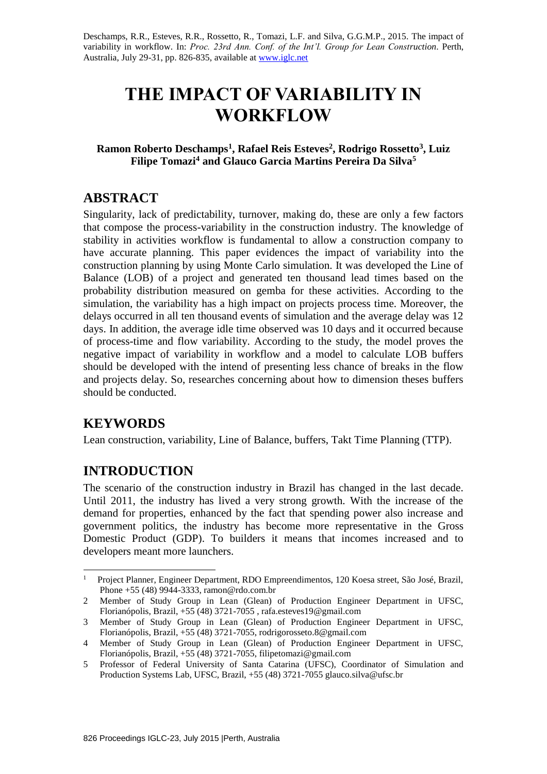Deschamps, R.R., Esteves, R.R., Rossetto, R., Tomazi, L.F. and Silva, G.G.M.P., 2015. The impact of variability in workflow. In: *Proc. 23rd Ann. Conf. of the Int'l. Group for Lean Construction*. Perth, Australia, July 29-31, pp. 826-835, available a[t www.iglc.net](http://www.iglc.net/)

# **THE IMPACT OF VARIABILITY IN WORKFLOW**

**Ramon Roberto Deschamps<sup>1</sup> , Rafael Reis Esteves<sup>2</sup> , Rodrigo Rossetto<sup>3</sup> , Luiz Filipe Tomazi<sup>4</sup> and Glauco Garcia Martins Pereira Da Silva<sup>5</sup>**

# **ABSTRACT**

Singularity, lack of predictability, turnover, making do, these are only a few factors that compose the process-variability in the construction industry. The knowledge of stability in activities workflow is fundamental to allow a construction company to have accurate planning. This paper evidences the impact of variability into the construction planning by using Monte Carlo simulation. It was developed the Line of Balance (LOB) of a project and generated ten thousand lead times based on the probability distribution measured on gemba for these activities. According to the simulation, the variability has a high impact on projects process time. Moreover, the delays occurred in all ten thousand events of simulation and the average delay was 12 days. In addition, the average idle time observed was 10 days and it occurred because of process-time and flow variability. According to the study, the model proves the negative impact of variability in workflow and a model to calculate LOB buffers should be developed with the intend of presenting less chance of breaks in the flow and projects delay. So, researches concerning about how to dimension theses buffers should be conducted.

# **KEYWORDS**

-

Lean construction, variability, Line of Balance, buffers, Takt Time Planning (TTP).

# **INTRODUCTION**

The scenario of the construction industry in Brazil has changed in the last decade. Until 2011, the industry has lived a very strong growth. With the increase of the demand for properties, enhanced by the fact that spending power also increase and government politics, the industry has become more representative in the Gross Domestic Product (GDP). To builders it means that incomes increased and to developers meant more launchers.

<sup>1</sup> Project Planner, Engineer Department, RDO Empreendimentos, 120 Koesa street, São José, Brazil, Phone +55 (48) 9944-3333, ramon@rdo.com.br

<sup>2</sup> Member of Study Group in Lean (Glean) of Production Engineer Department in UFSC, Florianópolis, Brazil, +55 (48) 3721-7055 , rafa.esteves19@gmail.com

<sup>3</sup> Member of Study Group in Lean (Glean) of Production Engineer Department in UFSC, Florianópolis, Brazil, +55 (48) 3721-7055, rodrigorosseto.8@gmail.com

<sup>4</sup> Member of Study Group in Lean (Glean) of Production Engineer Department in UFSC, Florianópolis, Brazil, +55 (48) 3721-7055, filipetomazi@gmail.com

<sup>5</sup> Professor of Federal University of Santa Catarina (UFSC), Coordinator of Simulation and Production Systems Lab, UFSC, Brazil, +55 (48) 3721-7055 glauco.silva@ufsc.br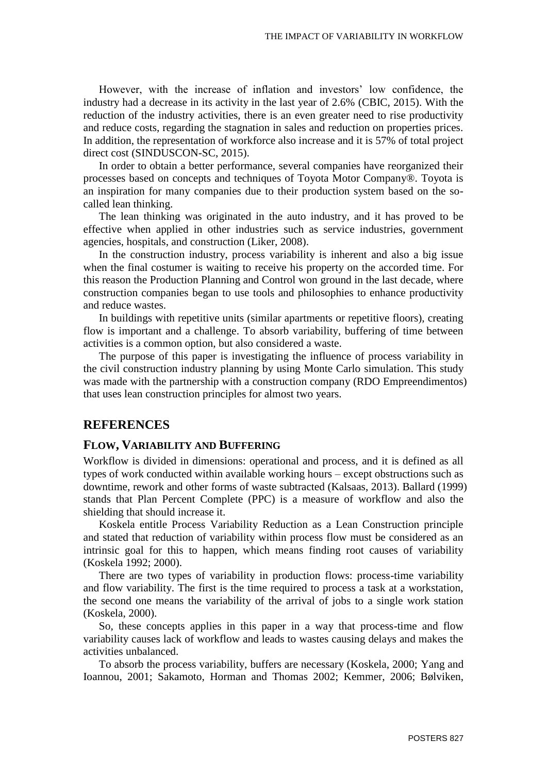However, with the increase of inflation and investors' low confidence, the industry had a decrease in its activity in the last year of 2.6% (CBIC, 2015). With the reduction of the industry activities, there is an even greater need to rise productivity and reduce costs, regarding the stagnation in sales and reduction on properties prices. In addition, the representation of workforce also increase and it is 57% of total project direct cost (SINDUSCON-SC, 2015).

In order to obtain a better performance, several companies have reorganized their processes based on concepts and techniques of Toyota Motor Company®. Toyota is an inspiration for many companies due to their production system based on the socalled lean thinking.

The lean thinking was originated in the auto industry, and it has proved to be effective when applied in other industries such as service industries, government agencies, hospitals, and construction (Liker, 2008).

In the construction industry, process variability is inherent and also a big issue when the final costumer is waiting to receive his property on the accorded time. For this reason the Production Planning and Control won ground in the last decade, where construction companies began to use tools and philosophies to enhance productivity and reduce wastes.

In buildings with repetitive units (similar apartments or repetitive floors), creating flow is important and a challenge. To absorb variability, buffering of time between activities is a common option, but also considered a waste.

The purpose of this paper is investigating the influence of process variability in the civil construction industry planning by using Monte Carlo simulation. This study was made with the partnership with a construction company (RDO Empreendimentos) that uses lean construction principles for almost two years.

#### **REFERENCES**

#### **FLOW, VARIABILITY AND BUFFERING**

Workflow is divided in dimensions: operational and process, and it is defined as all types of work conducted within available working hours – except obstructions such as downtime, rework and other forms of waste subtracted (Kalsaas, 2013). Ballard (1999) stands that Plan Percent Complete (PPC) is a measure of workflow and also the shielding that should increase it.

Koskela entitle Process Variability Reduction as a Lean Construction principle and stated that reduction of variability within process flow must be considered as an intrinsic goal for this to happen, which means finding root causes of variability (Koskela 1992; 2000).

There are two types of variability in production flows: process-time variability and flow variability. The first is the time required to process a task at a workstation, the second one means the variability of the arrival of jobs to a single work station (Koskela, 2000).

So, these concepts applies in this paper in a way that process-time and flow variability causes lack of workflow and leads to wastes causing delays and makes the activities unbalanced.

To absorb the process variability, buffers are necessary (Koskela, 2000; Yang and Ioannou, 2001; Sakamoto, Horman and Thomas 2002; Kemmer, 2006; Bølviken,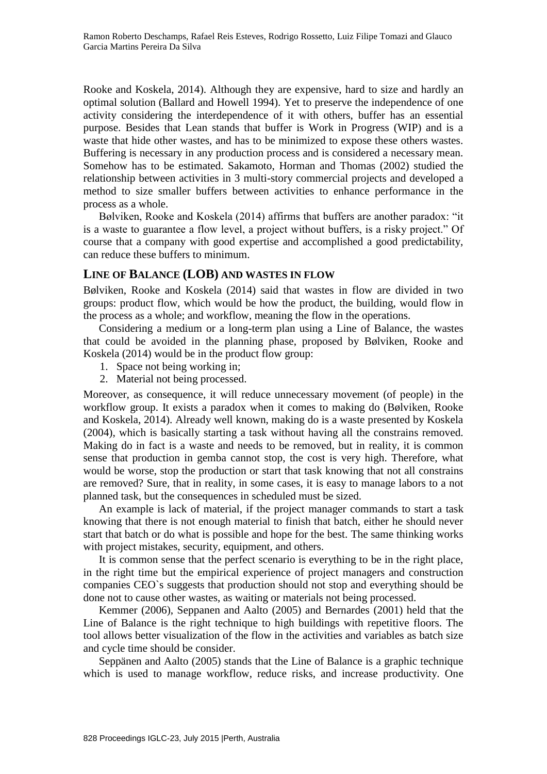Rooke and Koskela, 2014). Although they are expensive, hard to size and hardly an optimal solution (Ballard and Howell 1994). Yet to preserve the independence of one activity considering the interdependence of it with others, buffer has an essential purpose. Besides that Lean stands that buffer is Work in Progress (WIP) and is a waste that hide other wastes, and has to be minimized to expose these others wastes. Buffering is necessary in any production process and is considered a necessary mean. Somehow has to be estimated. Sakamoto, Horman and Thomas (2002) studied the relationship between activities in 3 multi-story commercial projects and developed a method to size smaller buffers between activities to enhance performance in the process as a whole.

Bølviken, Rooke and Koskela (2014) affirms that buffers are another paradox: "it is a waste to guarantee a flow level, a project without buffers, is a risky project." Of course that a company with good expertise and accomplished a good predictability, can reduce these buffers to minimum.

## **LINE OF BALANCE (LOB) AND WASTES IN FLOW**

Bølviken, Rooke and Koskela (2014) said that wastes in flow are divided in two groups: product flow, which would be how the product, the building, would flow in the process as a whole; and workflow, meaning the flow in the operations.

Considering a medium or a long-term plan using a Line of Balance, the wastes that could be avoided in the planning phase, proposed by Bølviken, Rooke and Koskela (2014) would be in the product flow group:

- 1. Space not being working in;
- 2. Material not being processed.

Moreover, as consequence, it will reduce unnecessary movement (of people) in the workflow group. It exists a paradox when it comes to making do (Bølviken, Rooke and Koskela, 2014). Already well known, making do is a waste presented by Koskela (2004), which is basically starting a task without having all the constrains removed. Making do in fact is a waste and needs to be removed, but in reality, it is common sense that production in gemba cannot stop, the cost is very high. Therefore, what would be worse, stop the production or start that task knowing that not all constrains are removed? Sure, that in reality, in some cases, it is easy to manage labors to a not planned task, but the consequences in scheduled must be sized.

An example is lack of material, if the project manager commands to start a task knowing that there is not enough material to finish that batch, either he should never start that batch or do what is possible and hope for the best. The same thinking works with project mistakes, security, equipment, and others.

It is common sense that the perfect scenario is everything to be in the right place, in the right time but the empirical experience of project managers and construction companies CEO`s suggests that production should not stop and everything should be done not to cause other wastes, as waiting or materials not being processed.

Kemmer (2006), Seppanen and Aalto (2005) and Bernardes (2001) held that the Line of Balance is the right technique to high buildings with repetitive floors. The tool allows better visualization of the flow in the activities and variables as batch size and cycle time should be consider.

Seppänen and Aalto (2005) stands that the Line of Balance is a graphic technique which is used to manage workflow, reduce risks, and increase productivity. One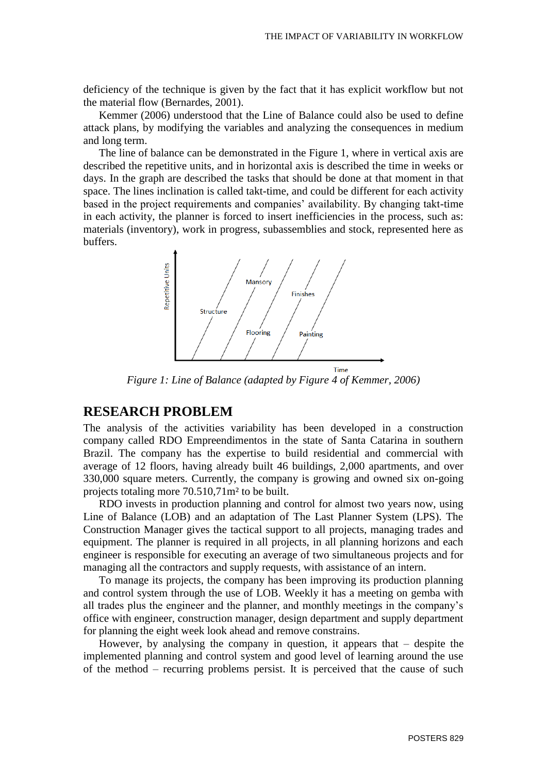deficiency of the technique is given by the fact that it has explicit workflow but not the material flow (Bernardes, 2001).

Kemmer (2006) understood that the Line of Balance could also be used to define attack plans, by modifying the variables and analyzing the consequences in medium and long term.

The line of balance can be demonstrated in the Figure 1, where in vertical axis are described the repetitive units, and in horizontal axis is described the time in weeks or days. In the graph are described the tasks that should be done at that moment in that space. The lines inclination is called takt-time, and could be different for each activity based in the project requirements and companies' availability. By changing takt-time in each activity, the planner is forced to insert inefficiencies in the process, such as: materials (inventory), work in progress, subassemblies and stock, represented here as buffers.



*Figure 1: Line of Balance (adapted by Figure 4 of Kemmer, 2006)*

## **RESEARCH PROBLEM**

The analysis of the activities variability has been developed in a construction company called RDO Empreendimentos in the state of Santa Catarina in southern Brazil. The company has the expertise to build residential and commercial with average of 12 floors, having already built 46 buildings, 2,000 apartments, and over 330,000 square meters. Currently, the company is growing and owned six on-going projects totaling more 70.510,71m² to be built.

RDO invests in production planning and control for almost two years now, using Line of Balance (LOB) and an adaptation of The Last Planner System (LPS). The Construction Manager gives the tactical support to all projects, managing trades and equipment. The planner is required in all projects, in all planning horizons and each engineer is responsible for executing an average of two simultaneous projects and for managing all the contractors and supply requests, with assistance of an intern.

To manage its projects, the company has been improving its production planning and control system through the use of LOB. Weekly it has a meeting on gemba with all trades plus the engineer and the planner, and monthly meetings in the company's office with engineer, construction manager, design department and supply department for planning the eight week look ahead and remove constrains.

However, by analysing the company in question, it appears that – despite the implemented planning and control system and good level of learning around the use of the method – recurring problems persist. It is perceived that the cause of such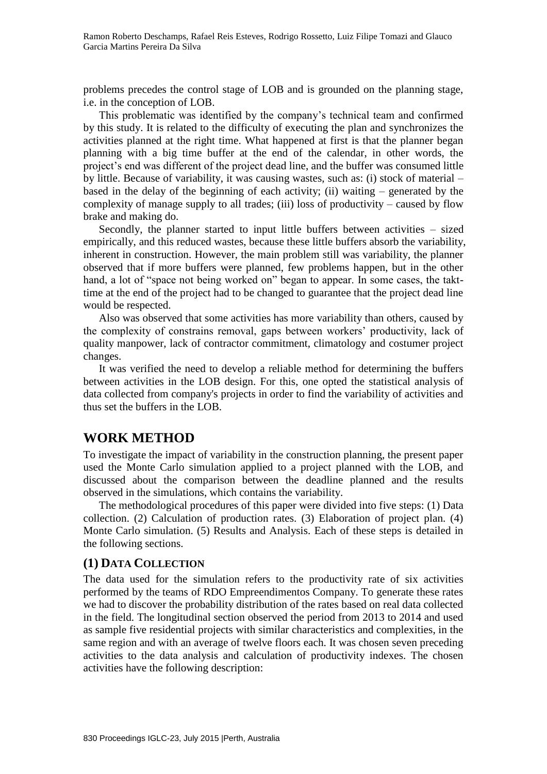problems precedes the control stage of LOB and is grounded on the planning stage, i.e. in the conception of LOB.

This problematic was identified by the company's technical team and confirmed by this study. It is related to the difficulty of executing the plan and synchronizes the activities planned at the right time. What happened at first is that the planner began planning with a big time buffer at the end of the calendar, in other words, the project's end was different of the project dead line, and the buffer was consumed little by little. Because of variability, it was causing wastes, such as: (i) stock of material – based in the delay of the beginning of each activity; (ii) waiting – generated by the complexity of manage supply to all trades; (iii) loss of productivity – caused by flow brake and making do.

Secondly, the planner started to input little buffers between activities – sized empirically, and this reduced wastes, because these little buffers absorb the variability, inherent in construction. However, the main problem still was variability, the planner observed that if more buffers were planned, few problems happen, but in the other hand, a lot of "space not being worked on" began to appear. In some cases, the takttime at the end of the project had to be changed to guarantee that the project dead line would be respected.

Also was observed that some activities has more variability than others, caused by the complexity of constrains removal, gaps between workers' productivity, lack of quality manpower, lack of contractor commitment, climatology and costumer project changes.

It was verified the need to develop a reliable method for determining the buffers between activities in the LOB design. For this, one opted the statistical analysis of data collected from company's projects in order to find the variability of activities and thus set the buffers in the LOB.

## **WORK METHOD**

To investigate the impact of variability in the construction planning, the present paper used the Monte Carlo simulation applied to a project planned with the LOB, and discussed about the comparison between the deadline planned and the results observed in the simulations, which contains the variability.

The methodological procedures of this paper were divided into five steps: (1) Data collection. (2) Calculation of production rates. (3) Elaboration of project plan. (4) Monte Carlo simulation. (5) Results and Analysis. Each of these steps is detailed in the following sections.

#### **(1) DATA COLLECTION**

The data used for the simulation refers to the productivity rate of six activities performed by the teams of RDO Empreendimentos Company. To generate these rates we had to discover the probability distribution of the rates based on real data collected in the field. The longitudinal section observed the period from 2013 to 2014 and used as sample five residential projects with similar characteristics and complexities, in the same region and with an average of twelve floors each. It was chosen seven preceding activities to the data analysis and calculation of productivity indexes. The chosen activities have the following description: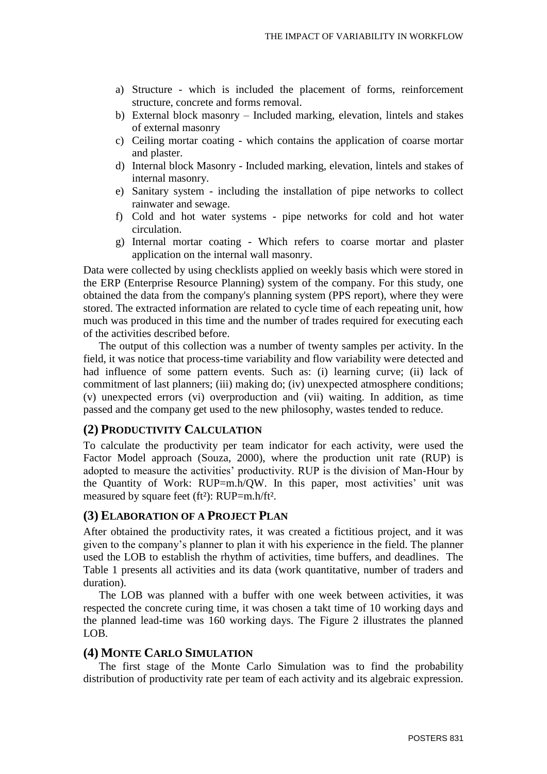- a) Structure which is included the placement of forms, reinforcement structure, concrete and forms removal.
- b) External block masonry Included marking, elevation, lintels and stakes of external masonry
- c) Ceiling mortar coating which contains the application of coarse mortar and plaster.
- d) Internal block Masonry Included marking, elevation, lintels and stakes of internal masonry.
- e) Sanitary system including the installation of pipe networks to collect rainwater and sewage.
- f) Cold and hot water systems pipe networks for cold and hot water circulation.
- g) Internal mortar coating Which refers to coarse mortar and plaster application on the internal wall masonry.

Data were collected by using checklists applied on weekly basis which were stored in the ERP (Enterprise Resource Planning) system of the company. For this study, one obtained the data from the company's planning system (PPS report), where they were stored. The extracted information are related to cycle time of each repeating unit, how much was produced in this time and the number of trades required for executing each of the activities described before.

The output of this collection was a number of twenty samples per activity. In the field, it was notice that process-time variability and flow variability were detected and had influence of some pattern events. Such as: (i) learning curve; (ii) lack of commitment of last planners; (iii) making do; (iv) unexpected atmosphere conditions; (v) unexpected errors (vi) overproduction and (vii) waiting. In addition, as time passed and the company get used to the new philosophy, wastes tended to reduce.

### **(2) PRODUCTIVITY CALCULATION**

To calculate the productivity per team indicator for each activity, were used the Factor Model approach (Souza, 2000), where the production unit rate (RUP) is adopted to measure the activities' productivity. RUP is the division of Man-Hour by the Quantity of Work: RUP=m.h/QW. In this paper, most activities' unit was measured by square feet (ft<sup>2</sup>): RUP=m.h/ft<sup>2</sup>.

#### **(3) ELABORATION OF A PROJECT PLAN**

After obtained the productivity rates, it was created a fictitious project, and it was given to the company's planner to plan it with his experience in the field. The planner used the LOB to establish the rhythm of activities, time buffers, and deadlines. The Table 1 presents all activities and its data (work quantitative, number of traders and duration).

The LOB was planned with a buffer with one week between activities, it was respected the concrete curing time, it was chosen a takt time of 10 working days and the planned lead-time was 160 working days. The Figure 2 illustrates the planned LOB.

#### **(4) MONTE CARLO SIMULATION**

The first stage of the Monte Carlo Simulation was to find the probability distribution of productivity rate per team of each activity and its algebraic expression.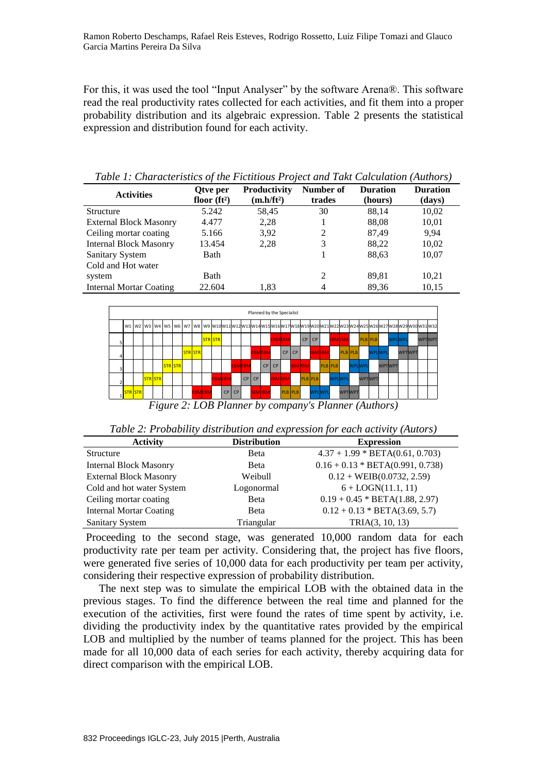For this, it was used the tool "Input Analyser" by the software Arena®. This software read the real productivity rates collected for each activities, and fit them into a proper probability distribution and its algebraic expression. Table 2 presents the statistical expression and distribution found for each activity.

*Table 1: Characteristics of the Fictitious Project and Takt Calculation (Authors)*

| <b>Activities</b>              | Otve per<br>floor $(ft^2)$ | <b>Productivity</b><br>$(m.h/ft^2)$ | Number of<br>trades | <b>Duration</b><br>(hours) | <b>Duration</b><br>(days) |
|--------------------------------|----------------------------|-------------------------------------|---------------------|----------------------------|---------------------------|
| Structure                      | 5.242                      | 58,45                               | 30                  | 88,14                      | 10,02                     |
| <b>External Block Masonry</b>  | 4.477                      | 2,28                                |                     | 88,08                      | 10,01                     |
| Ceiling mortar coating         | 5.166                      | 3,92                                | 2                   | 87,49                      | 9.94                      |
| <b>Internal Block Masonry</b>  | 13.454                     | 2,28                                | 3                   | 88,22                      | 10,02                     |
| <b>Sanitary System</b>         | Bath                       |                                     |                     | 88,63                      | 10,07                     |
| Cold and Hot water             |                            |                                     |                     |                            |                           |
| system                         | Bath                       |                                     | 2                   | 89,81                      | 10,21                     |
| <b>Internal Mortar Coating</b> | 22.604                     | 1.83                                | 4                   | 89.36                      | 10,15                     |

|                |                |                |  |                |                |                |    |               |    | Planned by the Specialist |    |    |                |               |    |               |                |               |               |                |                |               |        |               |               |                                                                                                                                             |
|----------------|----------------|----------------|--|----------------|----------------|----------------|----|---------------|----|---------------------------|----|----|----------------|---------------|----|---------------|----------------|---------------|---------------|----------------|----------------|---------------|--------|---------------|---------------|---------------------------------------------------------------------------------------------------------------------------------------------|
|                |                |                |  |                |                |                |    |               |    |                           |    |    |                |               |    |               |                |               |               |                |                |               |        |               |               | W1   W2   W3   W4   W5   W6   W7   W8   W9  W10 W11 W12 W13 W14 W15 W16 W17 W18 W19 W20 W21 W22 W23 W23 W24 W25 W26 W27 W28 W29 W30 W31 W32 |
|                |                |                |  |                |                | <b>STR STR</b> |    |               |    |                           |    |    | <b>EBMEBM</b>  |               | CP | <b>CP</b>     |                |               | <b>IBMIBM</b> |                | <b>PLB</b> PLB |               | WPLWPL |               | <b>WPTWPT</b> |                                                                                                                                             |
| 4              |                |                |  |                | <b>STRISTR</b> |                |    |               |    | <b>EBMEBN</b>             |    |    | CP I           | CP            |    | <b>IBMIBM</b> |                |               |               | <b>PLB</b> PLB |                | WPLWPL        |        | <b>WPTWPT</b> |               |                                                                                                                                             |
| 3              |                |                |  | <b>STR STR</b> |                |                |    | <b>EBMEBM</b> |    |                           | CP | CP |                | <b>IBMIBM</b> |    |               | <b>PLB</b> PLB |               |               | WPLWPL         |                | <b>WPTMPT</b> |        |               |               |                                                                                                                                             |
| $\overline{2}$ |                | <b>STRISTR</b> |  |                |                | <b>EBMEBN</b>  |    |               | CP | CP                        |    |    | <b>IBMIBM</b>  |               |    | PLB PLB       |                | <b>WPLWPL</b> |               |                | WPTWPT         |               |        |               |               |                                                                                                                                             |
|                | <b>STR STR</b> |                |  |                | <b>EBMEBM</b>  |                | CP | CP            |    | <b>IBM</b> IBM            |    |    | <b>PLB</b> PLB |               |    | <b>WPLWPL</b> |                |               |               | WPTWPT         |                |               |        |               |               |                                                                                                                                             |

*Figure 2: LOB Planner by company's Planner (Authors)*

| Table 2: Probability distribution and expression for each activity (Autors) |
|-----------------------------------------------------------------------------|
|-----------------------------------------------------------------------------|

| <b>Activity</b>                | <b>Distribution</b> | <b>Expression</b>                  |
|--------------------------------|---------------------|------------------------------------|
| Structure                      | Beta                | $4.37 + 1.99 * BETA(0.61, 0.703)$  |
| <b>Internal Block Masonry</b>  | <b>B</b> eta        | $0.16 + 0.13 * BETA(0.991, 0.738)$ |
| <b>External Block Masonry</b>  | Weibull             | $0.12 + \text{WEIB}(0.0732, 2.59)$ |
| Cold and hot water System      | Logonormal          | $6 + LOGN(11.1, 11)$               |
| Ceiling mortar coating         | <b>B</b> eta        | $0.19 + 0.45 * BETA(1.88, 2.97)$   |
| <b>Internal Mortar Coating</b> | <b>B</b> eta        | $0.12 + 0.13 * BETA(3.69, 5.7)$    |
| Sanitary System                | Triangular          | TRIA(3, 10, 13)                    |

Proceeding to the second stage, was generated 10,000 random data for each productivity rate per team per activity. Considering that, the project has five floors, were generated five series of 10,000 data for each productivity per team per activity, considering their respective expression of probability distribution.

The next step was to simulate the empirical LOB with the obtained data in the previous stages. To find the difference between the real time and planned for the execution of the activities, first were found the rates of time spent by activity, i.e. dividing the productivity index by the quantitative rates provided by the empirical LOB and multiplied by the number of teams planned for the project. This has been made for all 10,000 data of each series for each activity, thereby acquiring data for direct comparison with the empirical LOB.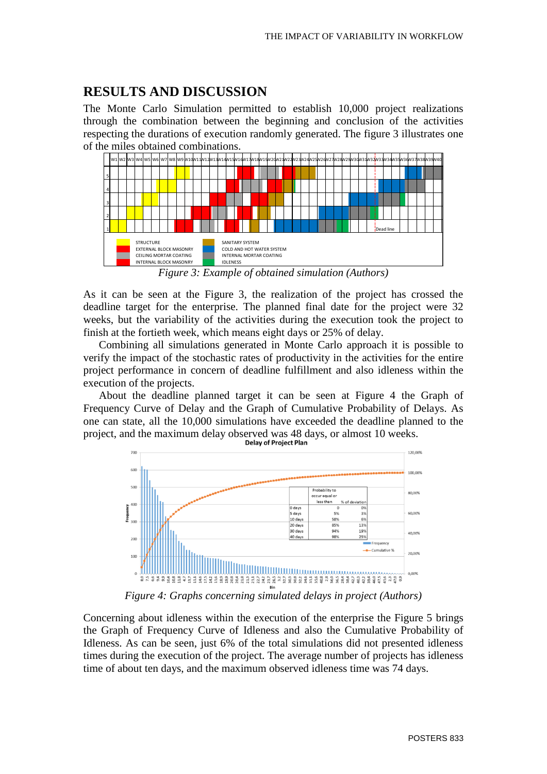## **RESULTS AND DISCUSSION**

The Monte Carlo Simulation permitted to establish 10,000 project realizations through the combination between the beginning and conclusion of the activities respecting the durations of execution randomly generated. The figure 3 illustrates one of the miles obtained combinations.



*Figure 3: Example of obtained simulation (Authors)*

As it can be seen at the Figure 3, the realization of the project has crossed the deadline target for the enterprise. The planned final date for the project were 32 weeks, but the variability of the activities during the execution took the project to finish at the fortieth week, which means eight days or 25% of delay.

Combining all simulations generated in Monte Carlo approach it is possible to verify the impact of the stochastic rates of productivity in the activities for the entire project performance in concern of deadline fulfillment and also idleness within the execution of the projects.

About the deadline planned target it can be seen at Figure 4 the Graph of Frequency Curve of Delay and the Graph of Cumulative Probability of Delays. As one can state, all the 10,000 simulations have exceeded the deadline planned to the project, and the maximum delay observed was 48 days, or almost 10 weeks.<br>Delay of Project Plan



*Figure 4: Graphs concerning simulated delays in project (Authors)*

Concerning about idleness within the execution of the enterprise the Figure 5 brings the Graph of Frequency Curve of Idleness and also the Cumulative Probability of Idleness. As can be seen, just 6% of the total simulations did not presented idleness times during the execution of the project. The average number of projects has idleness time of about ten days, and the maximum observed idleness time was 74 days.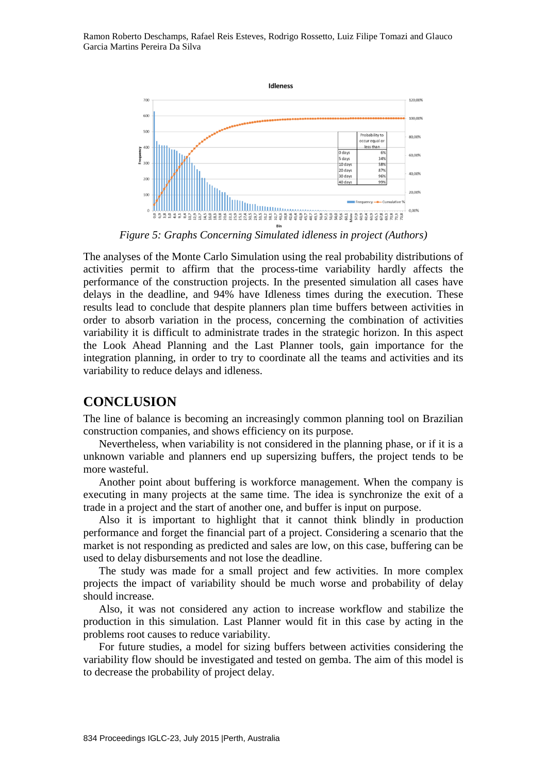Ramon Roberto Deschamps, Rafael Reis Esteves, Rodrigo Rossetto, Luiz Filipe Tomazi and Glauco Garcia Martins Pereira Da Silva



*Figure 5: Graphs Concerning Simulated idleness in project (Authors)*

The analyses of the Monte Carlo Simulation using the real probability distributions of activities permit to affirm that the process-time variability hardly affects the performance of the construction projects. In the presented simulation all cases have delays in the deadline, and 94% have Idleness times during the execution. These results lead to conclude that despite planners plan time buffers between activities in order to absorb variation in the process, concerning the combination of activities variability it is difficult to administrate trades in the strategic horizon. In this aspect the Look Ahead Planning and the Last Planner tools, gain importance for the integration planning, in order to try to coordinate all the teams and activities and its variability to reduce delays and idleness.

## **CONCLUSION**

The line of balance is becoming an increasingly common planning tool on Brazilian construction companies, and shows efficiency on its purpose.

Nevertheless, when variability is not considered in the planning phase, or if it is a unknown variable and planners end up supersizing buffers, the project tends to be more wasteful.

Another point about buffering is workforce management. When the company is executing in many projects at the same time. The idea is synchronize the exit of a trade in a project and the start of another one, and buffer is input on purpose.

Also it is important to highlight that it cannot think blindly in production performance and forget the financial part of a project. Considering a scenario that the market is not responding as predicted and sales are low, on this case, buffering can be used to delay disbursements and not lose the deadline.

The study was made for a small project and few activities. In more complex projects the impact of variability should be much worse and probability of delay should increase.

Also, it was not considered any action to increase workflow and stabilize the production in this simulation. Last Planner would fit in this case by acting in the problems root causes to reduce variability.

For future studies, a model for sizing buffers between activities considering the variability flow should be investigated and tested on gemba. The aim of this model is to decrease the probability of project delay.